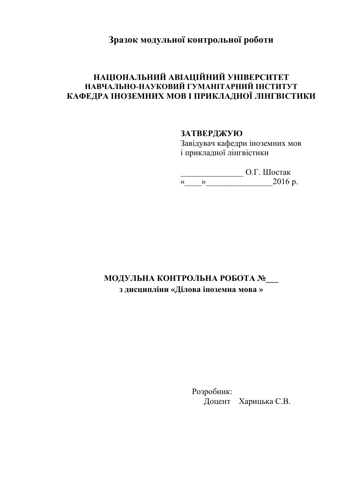## **Зразок модульної контрольної роботи**

## **НАЦІОНАЛЬНИЙ АВІАЦІЙНИЙ УНІВЕРСИТЕТ НАВЧАЛЬНО-НАУКОВИЙ ГУМАНІТАРНИЙ ІНСТИТУТ КАФЕДРА ІНОЗЕМНИХ МОВ І ПРИКЛАДНОЇ ЛІНГВІСТИКИ**

## **ЗАТВЕРДЖУЮ**

Завідувач кафедри іноземних мов і прикладної лінгвістики

\_\_\_\_\_\_\_\_\_\_\_\_\_\_\_ О.Г. Шостак «\_\_\_\_»\_\_\_\_\_\_\_\_\_\_\_\_\_\_\_\_2016 р.

# **МОДУЛЬНА КОНТРОЛЬНА РОБОТА №\_\_\_ з дисципліни «Ділова іноземна мова »**

 Розробник: Доцент Харицька С.В.